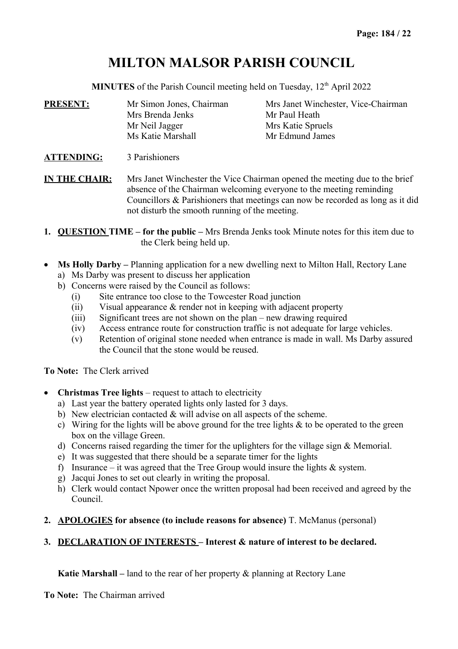# **MILTON MALSOR PARISH COUNCIL**

**MINUTES** of the Parish Council meeting held on Tuesday, 12<sup>th</sup> April 2022

| <b>PRESENT:</b>   | Mr Simon Jones, Chairman | Mrs Janet Winchester, Vice-Chairman |  |
|-------------------|--------------------------|-------------------------------------|--|
|                   | Mrs Brenda Jenks         | Mr Paul Heath                       |  |
|                   | Mr Neil Jagger           | Mrs Katie Spruels                   |  |
|                   | Ms Katie Marshall        | Mr Edmund James                     |  |
| <b>ATTENDING:</b> | 3 Parishioners           |                                     |  |

**IN THE CHAIR:** Mrs Janet Winchester the Vice Chairman opened the meeting due to the brief absence of the Chairman welcoming everyone to the meeting reminding Councillors & Parishioners that meetings can now be recorded as long as it did not disturb the smooth running of the meeting.

- **1. QUESTION TIME for the public** Mrs Brenda Jenks took Minute notes for this item due to the Clerk being held up.
- Ms Holly Darby Planning application for a new dwelling next to Milton Hall, Rectory Lane
	- a) Ms Darby was present to discuss her application
	- b) Concerns were raised by the Council as follows:
		- (i) Site entrance too close to the Towcester Road junction
		- (ii) Visual appearance & render not in keeping with adjacent property
		- (iii) Significant trees are not shown on the plan new drawing required
		- (iv) Access entrance route for construction traffic is not adequate for large vehicles.
		- (v) Retention of original stone needed when entrance is made in wall. Ms Darby assured the Council that the stone would be reused.

**To Note:** The Clerk arrived

- **Christmas Tree lights** request to attach to electricity
	- a) Last year the battery operated lights only lasted for 3 days.
	- b) New electrician contacted & will advise on all aspects of the scheme.
	- c) Wiring for the lights will be above ground for the tree lights  $\&$  to be operated to the green box on the village Green.
	- d) Concerns raised regarding the timer for the uplighters for the village sign & Memorial.
	- e) It was suggested that there should be a separate timer for the lights
	- f) Insurance it was agreed that the Tree Group would insure the lights  $\&$  system.
	- g) Jacqui Jones to set out clearly in writing the proposal.
	- h) Clerk would contact Npower once the written proposal had been received and agreed by the Council.
- **2. APOLOGIES for absence (to include reasons for absence)** T. McManus (personal)

# **3. DECLARATION OF INTERESTS – Interest & nature of interest to be declared.**

**Katie Marshall –** land to the rear of her property & planning at Rectory Lane

**To Note:** The Chairman arrived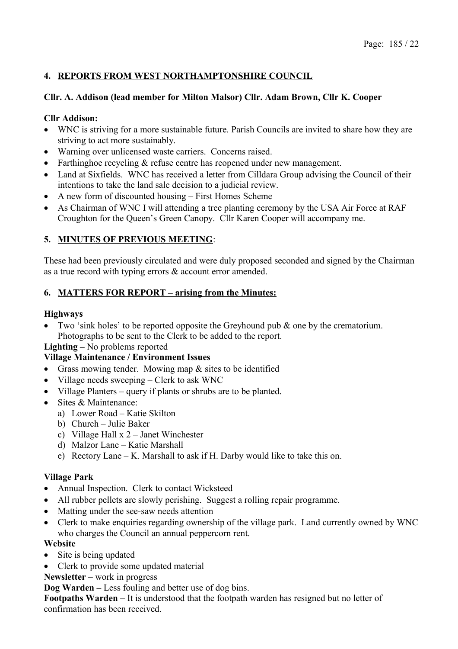# **4. REPORTS FROM WEST NORTHAMPTONSHIRE COUNCIL**

### **Cllr. A. Addison (lead member for Milton Malsor) Cllr. Adam Brown, Cllr K. Cooper**

### **Cllr Addison:**

- WNC is striving for a more sustainable future. Parish Councils are invited to share how they are striving to act more sustainably.
- Warning over unlicensed waste carriers. Concerns raised.
- Farthinghoe recycling & refuse centre has reopened under new management.
- Land at Sixfields. WNC has received a letter from Cilldara Group advising the Council of their intentions to take the land sale decision to a judicial review.
- A new form of discounted housing First Homes Scheme
- As Chairman of WNC I will attending a tree planting ceremony by the USA Air Force at RAF Croughton for the Queen's Green Canopy. Cllr Karen Cooper will accompany me.

### **5. MINUTES OF PREVIOUS MEETING**:

These had been previously circulated and were duly proposed seconded and signed by the Chairman as a true record with typing errors & account error amended.

### **6. MATTERS FOR REPORT – arising from the Minutes:**

### **Highways**

• Two 'sink holes' to be reported opposite the Greyhound pub  $\&$  one by the crematorium. Photographs to be sent to the Clerk to be added to the report.

### **Lighting –** No problems reported

### **Village Maintenance / Environment Issues**

- Grass mowing tender. Mowing map & sites to be identified
- Village needs sweeping Clerk to ask WNC
- Village Planters query if plants or shrubs are to be planted.
- Sites & Maintenance:
	- a) Lower Road Katie Skilton
	- b) Church Julie Baker
	- c) Village Hall x 2 Janet Winchester
	- d) Malzor Lane Katie Marshall
	- e) Rectory Lane K. Marshall to ask if H. Darby would like to take this on.

### **Village Park**

- Annual Inspection. Clerk to contact Wicksteed
- All rubber pellets are slowly perishing. Suggest a rolling repair programme.
- Matting under the see-saw needs attention
- Clerk to make enquiries regarding ownership of the village park. Land currently owned by WNC who charges the Council an annual peppercorn rent.

### **Website**

- Site is being updated
- Clerk to provide some updated material
- **Newsletter** work in progress

**Dog Warden –** Less fouling and better use of dog bins.

**Footpaths Warden –** It is understood that the footpath warden has resigned but no letter of confirmation has been received.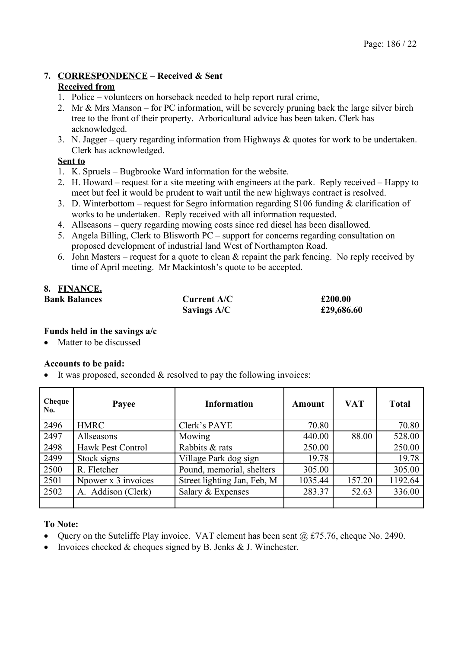# **7. CORRESPONDENCE – Received & Sent**

### **Received from**

- 1. Police volunteers on horseback needed to help report rural crime,
- 2. Mr & Mrs Manson for PC information, will be severely pruning back the large silver birch tree to the front of their property. Arboricultural advice has been taken. Clerk has acknowledged.
- 3. N. Jagger query regarding information from Highways & quotes for work to be undertaken. Clerk has acknowledged.

### **Sent to**

- 1. K. Spruels Bugbrooke Ward information for the website.
- 2. H. Howard request for a site meeting with engineers at the park. Reply received Happy to meet but feel it would be prudent to wait until the new highways contract is resolved.
- 3. D. Winterbottom request for Segro information regarding S106 funding & clarification of works to be undertaken. Reply received with all information requested.
- 4. Allseasons query regarding mowing costs since red diesel has been disallowed.
- 5. Angela Billing, Clerk to Blisworth PC support for concerns regarding consultation on proposed development of industrial land West of Northampton Road.
- 6. John Masters request for a quote to clean  $\&$  repaint the park fencing. No reply received by time of April meeting. Mr Mackintosh's quote to be accepted.

# **8. FINANCE.**

| <b>Bank Balances</b> | Current A/C        | £200.00    |
|----------------------|--------------------|------------|
|                      | <b>Savings A/C</b> | £29,686.60 |

### **Funds held in the savings a/c**

Matter to be discussed

### **Accounts to be paid:**

It was proposed, seconded  $&$  resolved to pay the following invoices:

| Cheque<br>No. | Payee               | <b>Information</b>          | Amount  | <b>VAT</b> | <b>Total</b> |
|---------------|---------------------|-----------------------------|---------|------------|--------------|
| 2496          | <b>HMRC</b>         | Clerk's PAYE                | 70.80   |            | 70.80        |
| 2497          | Allseasons          | Mowing                      | 440.00  | 88.00      | 528.00       |
| 2498          | Hawk Pest Control   | Rabbits & rats              | 250.00  |            | 250.00       |
| 2499          | Stock signs         | Village Park dog sign       | 19.78   |            | 19.78        |
| 2500          | R. Fletcher         | Pound, memorial, shelters   | 305.00  |            | 305.00       |
| 2501          | Npower x 3 invoices | Street lighting Jan, Feb, M | 1035.44 | 157.20     | 1192.64      |
| 2502          | A. Addison (Clerk)  | Salary & Expenses           | 283.37  | 52.63      | 336.00       |
|               |                     |                             |         |            |              |

### **To Note:**

- Ouery on the Sutcliffe Play invoice. VAT element has been sent  $(a)$  £75.76, cheque No. 2490.
- Invoices checked  $&$  cheques signed by B. Jenks  $&$  J. Winchester.